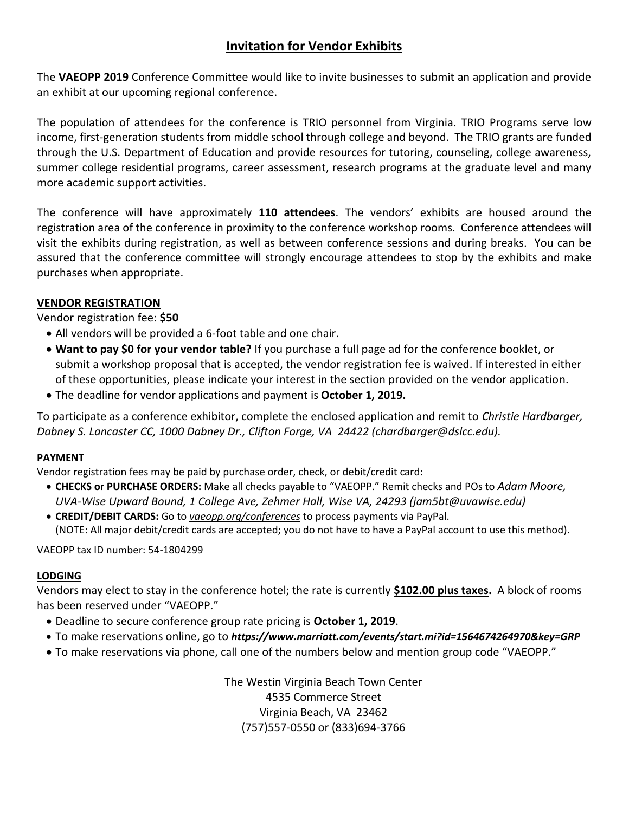## **Invitation for Vendor Exhibits**

The **VAEOPP 2019** Conference Committee would like to invite businesses to submit an application and provide an exhibit at our upcoming regional conference.

The population of attendees for the conference is TRIO personnel from Virginia. TRIO Programs serve low income, first-generation students from middle school through college and beyond. The TRIO grants are funded through the U.S. Department of Education and provide resources for tutoring, counseling, college awareness, summer college residential programs, career assessment, research programs at the graduate level and many more academic support activities.

The conference will have approximately **110 attendees**. The vendors' exhibits are housed around the registration area of the conference in proximity to the conference workshop rooms. Conference attendees will visit the exhibits during registration, as well as between conference sessions and during breaks. You can be assured that the conference committee will strongly encourage attendees to stop by the exhibits and make purchases when appropriate.

#### **VENDOR REGISTRATION**

#### Vendor registration fee: **\$50**

- All vendors will be provided a 6-foot table and one chair.
- **Want to pay \$0 for your vendor table?** If you purchase a full page ad for the conference booklet, or submit a workshop proposal that is accepted, the vendor registration fee is waived. If interested in either of these opportunities, please indicate your interest in the section provided on the vendor application.
- The deadline for vendor applications and payment is **October 1, 2019.**

To participate as a conference exhibitor, complete the enclosed application and remit to *Christie Hardbarger, Dabney S. Lancaster CC, 1000 Dabney Dr., Clifton Forge, VA 24422 (chardbarger@dslcc.edu).*

#### **PAYMENT**

Vendor registration fees may be paid by purchase order, check, or debit/credit card:

- **CHECKS or PURCHASE ORDERS:** Make all checks payable to "VAEOPP." Remit checks and POs to *Adam Moore, UVA-Wise Upward Bound, 1 College Ave, Zehmer Hall, Wise VA, 24293 (jam5bt@uvawise.edu)*
- **CREDIT/DEBIT CARDS:** Go to *vaeopp.org/conferences* to process payments via PayPal. (NOTE: All major debit/credit cards are accepted; you do not have to have a PayPal account to use this method).

VAEOPP tax ID number: 54-1804299

#### **LODGING**

Vendors may elect to stay in the conference hotel; the rate is currently **\$102.00 plus taxes.** A block of rooms has been reserved under "VAEOPP."

- Deadline to secure conference group rate pricing is **October 1, 2019**.
- To make reservations online, go to *https://www.marriott.com/events/start.mi?id=1564674264970&key=GRP*
- To make reservations via phone, call one of the numbers below and mention group code "VAEOPP."

The Westin Virginia Beach Town Center 4535 Commerce Street Virginia Beach, VA 23462 (757)557-0550 or (833)694-3766